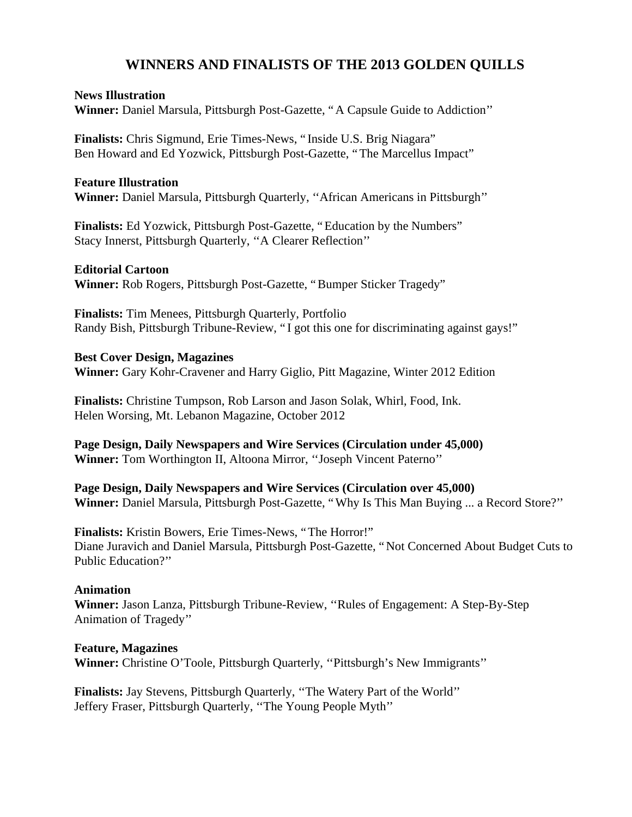# **WINNERS AND FINALISTS OF THE 2013 GOLDEN QUILLS**

### **News Illustration**

**Winner:** Daniel Marsula, Pittsburgh Post-Gazette, " A Capsule Guide to Addiction''

**Finalists:** Chris Sigmund, Erie Times-News, " Inside U.S. Brig Niagara" Ben Howard and Ed Yozwick, Pittsburgh Post-Gazette, " The Marcellus Impact"

#### **Feature Illustration**

**Winner:** Daniel Marsula, Pittsburgh Quarterly, ''African Americans in Pittsburgh''

**Finalists:** Ed Yozwick, Pittsburgh Post-Gazette, " Education by the Numbers" Stacy Innerst, Pittsburgh Quarterly, ''A Clearer Reflection''

#### **Editorial Cartoon**

**Winner:** Rob Rogers, Pittsburgh Post-Gazette, " Bumper Sticker Tragedy"

**Finalists:** Tim Menees, Pittsburgh Quarterly, Portfolio Randy Bish, Pittsburgh Tribune-Review, "I got this one for discriminating against gays!"

#### **Best Cover Design, Magazines**

**Winner:** Gary Kohr-Cravener and Harry Giglio, Pitt Magazine, Winter 2012 Edition

**Finalists:** Christine Tumpson, Rob Larson and Jason Solak, Whirl, Food, Ink. Helen Worsing, Mt. Lebanon Magazine, October 2012

**Page Design, Daily Newspapers and Wire Services (Circulation under 45,000) Winner:** Tom Worthington II, Altoona Mirror, ''Joseph Vincent Paterno''

**Page Design, Daily Newspapers and Wire Services (Circulation over 45,000) Winner:** Daniel Marsula, Pittsburgh Post-Gazette, " Why Is This Man Buying ... a Record Store?''

**Finalists:** Kristin Bowers, Erie Times-News, " The Horror!" Diane Juravich and Daniel Marsula, Pittsburgh Post-Gazette, " Not Concerned About Budget Cuts to Public Education?''

## **Animation**

**Winner:** Jason Lanza, Pittsburgh Tribune-Review, ''Rules of Engagement: A Step-By-Step Animation of Tragedy''

#### **Feature, Magazines**

**Winner:** Christine O'Toole, Pittsburgh Quarterly, ''Pittsburgh's New Immigrants''

**Finalists:** Jay Stevens, Pittsburgh Quarterly, ''The Watery Part of the World'' Jeffery Fraser, Pittsburgh Quarterly, ''The Young People Myth''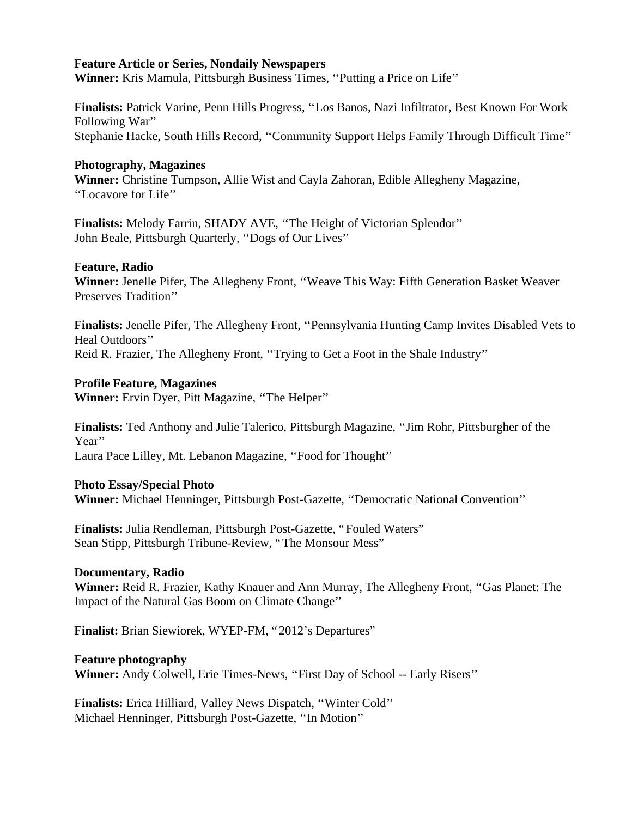## **Feature Article or Series, Nondaily Newspapers**

**Winner:** Kris Mamula, Pittsburgh Business Times, ''Putting a Price on Life''

**Finalists:** Patrick Varine, Penn Hills Progress, ''Los Banos, Nazi Infiltrator, Best Known For Work Following War'' Stephanie Hacke, South Hills Record, ''Community Support Helps Family Through Difficult Time''

#### **Photography, Magazines**

**Winner:** Christine Tumpson, Allie Wist and Cayla Zahoran, Edible Allegheny Magazine, ''Locavore for Life''

**Finalists:** Melody Farrin, SHADY AVE, ''The Height of Victorian Splendor'' John Beale, Pittsburgh Quarterly, ''Dogs of Our Lives''

## **Feature, Radio**

**Winner:** Jenelle Pifer, The Allegheny Front, ''Weave This Way: Fifth Generation Basket Weaver Preserves Tradition''

**Finalists:** Jenelle Pifer, The Allegheny Front, ''Pennsylvania Hunting Camp Invites Disabled Vets to Heal Outdoors'' Reid R. Frazier, The Allegheny Front, ''Trying to Get a Foot in the Shale Industry''

#### **Profile Feature, Magazines**

**Winner:** Ervin Dyer, Pitt Magazine, ''The Helper''

**Finalists:** Ted Anthony and Julie Talerico, Pittsburgh Magazine, ''Jim Rohr, Pittsburgher of the Year'' Laura Pace Lilley, Mt. Lebanon Magazine, ''Food for Thought''

#### **Photo Essay/Special Photo**

**Winner:** Michael Henninger, Pittsburgh Post-Gazette, ''Democratic National Convention''

**Finalists:** Julia Rendleman, Pittsburgh Post-Gazette, " Fouled Waters" Sean Stipp, Pittsburgh Tribune-Review, " The Monsour Mess"

#### **Documentary, Radio**

**Winner:** Reid R. Frazier, Kathy Knauer and Ann Murray, The Allegheny Front, ''Gas Planet: The Impact of the Natural Gas Boom on Climate Change''

**Finalist:** Brian Siewiorek, WYEP-FM, " 2012's Departures"

### **Feature photography**

**Winner:** Andy Colwell, Erie Times-News, ''First Day of School -- Early Risers''

**Finalists:** Erica Hilliard, Valley News Dispatch, ''Winter Cold'' Michael Henninger, Pittsburgh Post-Gazette, ''In Motion''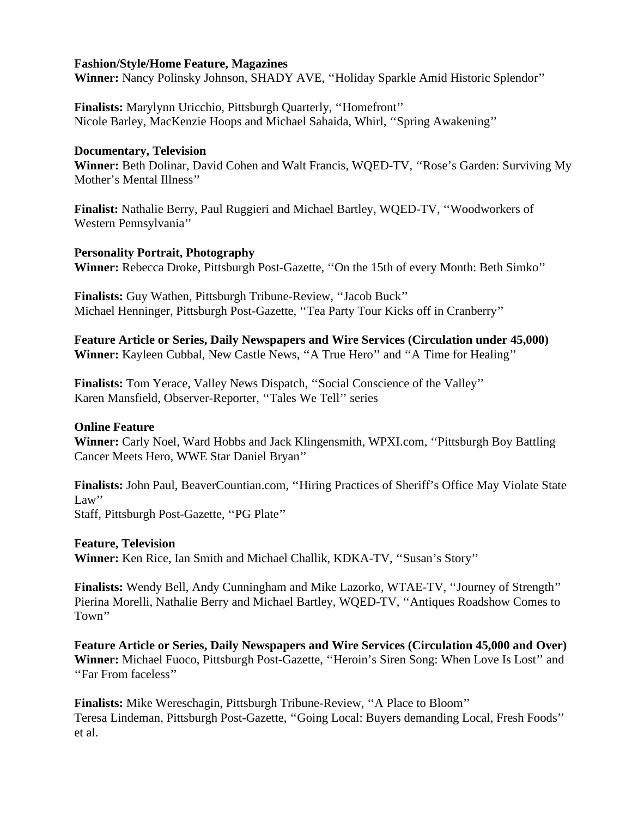## **Fashion/Style/Home Feature, Magazines**

**Winner:** Nancy Polinsky Johnson, SHADY AVE, ''Holiday Sparkle Amid Historic Splendor''

**Finalists:** Marylynn Uricchio, Pittsburgh Quarterly, ''Homefront'' Nicole Barley, MacKenzie Hoops and Michael Sahaida, Whirl, ''Spring Awakening''

## **Documentary, Television**

**Winner:** Beth Dolinar, David Cohen and Walt Francis, WQED-TV, ''Rose's Garden: Surviving My Mother's Mental Illness''

**Finalist:** Nathalie Berry, Paul Ruggieri and Michael Bartley, WQED-TV, ''Woodworkers of Western Pennsylvania''

## **Personality Portrait, Photography**

**Winner:** Rebecca Droke, Pittsburgh Post-Gazette, ''On the 15th of every Month: Beth Simko''

**Finalists:** Guy Wathen, Pittsburgh Tribune-Review, ''Jacob Buck'' Michael Henninger, Pittsburgh Post-Gazette, ''Tea Party Tour Kicks off in Cranberry''

**Feature Article or Series, Daily Newspapers and Wire Services (Circulation under 45,000) Winner:** Kayleen Cubbal, New Castle News, ''A True Hero'' and ''A Time for Healing''

**Finalists:** Tom Yerace, Valley News Dispatch, ''Social Conscience of the Valley'' Karen Mansfield, Observer-Reporter, ''Tales We Tell'' series

## **Online Feature**

**Winner:** Carly Noel, Ward Hobbs and Jack Klingensmith, WPXI.com, ''Pittsburgh Boy Battling Cancer Meets Hero, WWE Star Daniel Bryan''

**Finalists:** John Paul, BeaverCountian.com, ''Hiring Practices of Sheriff's Office May Violate State Law"

Staff, Pittsburgh Post-Gazette, ''PG Plate''

## **Feature, Television Winner:** Ken Rice, Ian Smith and Michael Challik, KDKA-TV, ''Susan's Story''

**Finalists:** Wendy Bell, Andy Cunningham and Mike Lazorko, WTAE-TV, ''Journey of Strength'' Pierina Morelli, Nathalie Berry and Michael Bartley, WQED-TV, ''Antiques Roadshow Comes to Town''

**Feature Article or Series, Daily Newspapers and Wire Services (Circulation 45,000 and Over) Winner:** Michael Fuoco, Pittsburgh Post-Gazette, ''Heroin's Siren Song: When Love Is Lost'' and ''Far From faceless''

**Finalists:** Mike Wereschagin, Pittsburgh Tribune-Review, ''A Place to Bloom'' Teresa Lindeman, Pittsburgh Post-Gazette, ''Going Local: Buyers demanding Local, Fresh Foods'' et al.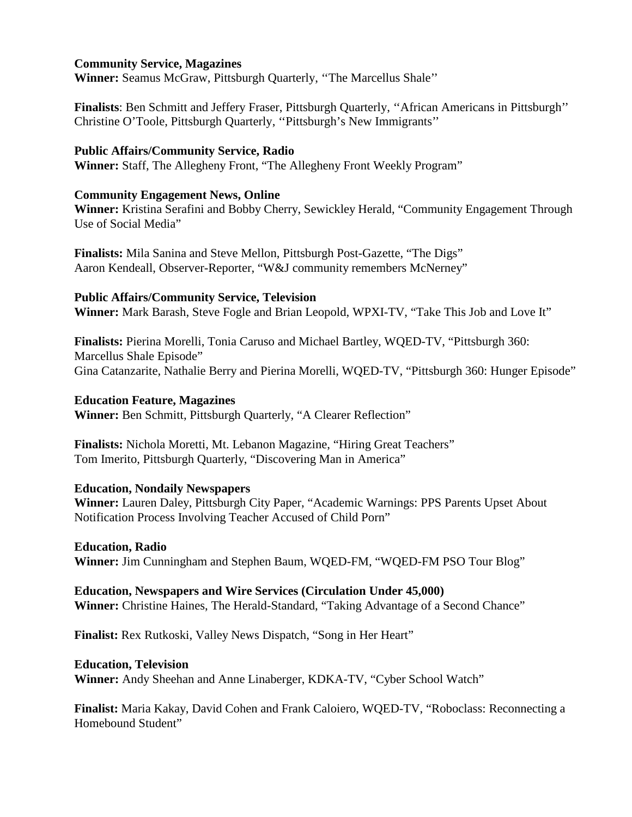## **Community Service, Magazines**

**Winner:** Seamus McGraw, Pittsburgh Quarterly, ''The Marcellus Shale''

**Finalists**: Ben Schmitt and Jeffery Fraser, Pittsburgh Quarterly, ''African Americans in Pittsburgh'' Christine O'Toole, Pittsburgh Quarterly, ''Pittsburgh's New Immigrants''

## **Public Affairs/Community Service, Radio**

**Winner:** Staff, The Allegheny Front, "The Allegheny Front Weekly Program"

## **Community Engagement News, Online**

**Winner:** Kristina Serafini and Bobby Cherry, Sewickley Herald, "Community Engagement Through Use of Social Media"

**Finalists:** Mila Sanina and Steve Mellon, Pittsburgh Post-Gazette, "The Digs" Aaron Kendeall, Observer-Reporter, "W&J community remembers McNerney"

## **Public Affairs/Community Service, Television**

**Winner:** Mark Barash, Steve Fogle and Brian Leopold, WPXI-TV, "Take This Job and Love It"

**Finalists:** Pierina Morelli, Tonia Caruso and Michael Bartley, WQED-TV, "Pittsburgh 360: Marcellus Shale Episode" Gina Catanzarite, Nathalie Berry and Pierina Morelli, WQED-TV, "Pittsburgh 360: Hunger Episode"

## **Education Feature, Magazines**

**Winner:** Ben Schmitt, Pittsburgh Quarterly, "A Clearer Reflection"

**Finalists:** Nichola Moretti, Mt. Lebanon Magazine, "Hiring Great Teachers" Tom Imerito, Pittsburgh Quarterly, "Discovering Man in America"

## **Education, Nondaily Newspapers**

**Winner:** Lauren Daley, Pittsburgh City Paper, "Academic Warnings: PPS Parents Upset About Notification Process Involving Teacher Accused of Child Porn"

## **Education, Radio**

**Winner:** Jim Cunningham and Stephen Baum, WQED-FM, "WQED-FM PSO Tour Blog"

#### **Education, Newspapers and Wire Services (Circulation Under 45,000)**

**Winner:** Christine Haines, The Herald-Standard, "Taking Advantage of a Second Chance"

**Finalist:** Rex Rutkoski, Valley News Dispatch, "Song in Her Heart"

## **Education, Television**

**Winner:** Andy Sheehan and Anne Linaberger, KDKA-TV, "Cyber School Watch"

**Finalist:** Maria Kakay, David Cohen and Frank Caloiero, WQED-TV, "Roboclass: Reconnecting a Homebound Student"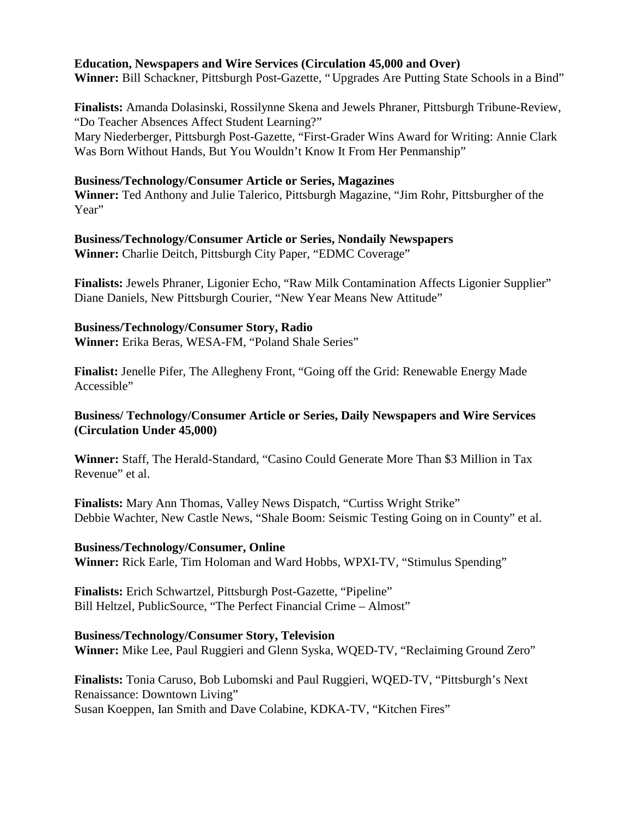## **Education, Newspapers and Wire Services (Circulation 45,000 and Over)**

**Winner:** Bill Schackner, Pittsburgh Post-Gazette, " Upgrades Are Putting State Schools in a Bind"

**Finalists:** Amanda Dolasinski, Rossilynne Skena and Jewels Phraner, Pittsburgh Tribune-Review, "Do Teacher Absences Affect Student Learning?"

Mary Niederberger, Pittsburgh Post-Gazette, "First-Grader Wins Award for Writing: Annie Clark Was Born Without Hands, But You Wouldn't Know It From Her Penmanship"

#### **Business/Technology/Consumer Article or Series, Magazines**

**Winner:** Ted Anthony and Julie Talerico, Pittsburgh Magazine, "Jim Rohr, Pittsburgher of the Year"

# **Business/Technology/Consumer Article or Series, Nondaily Newspapers**

**Winner:** Charlie Deitch, Pittsburgh City Paper, "EDMC Coverage"

**Finalists:** Jewels Phraner, Ligonier Echo, "Raw Milk Contamination Affects Ligonier Supplier" Diane Daniels, New Pittsburgh Courier, "New Year Means New Attitude"

## **Business/Technology/Consumer Story, Radio**

**Winner:** Erika Beras, WESA-FM, "Poland Shale Series"

**Finalist:** Jenelle Pifer, The Allegheny Front, "Going off the Grid: Renewable Energy Made Accessible"

## **Business/ Technology/Consumer Article or Series, Daily Newspapers and Wire Services (Circulation Under 45,000)**

**Winner:** Staff, The Herald-Standard, "Casino Could Generate More Than \$3 Million in Tax Revenue" et al.

**Finalists:** Mary Ann Thomas, Valley News Dispatch, "Curtiss Wright Strike" Debbie Wachter, New Castle News, "Shale Boom: Seismic Testing Going on in County" et al.

## **Business/Technology/Consumer, Online**

**Winner:** Rick Earle, Tim Holoman and Ward Hobbs, WPXI-TV, "Stimulus Spending"

**Finalists:** Erich Schwartzel, Pittsburgh Post-Gazette, "Pipeline" Bill Heltzel, PublicSource, "The Perfect Financial Crime – Almost"

# **Business/Technology/Consumer Story, Television Winner:** Mike Lee, Paul Ruggieri and Glenn Syska, WQED-TV, "Reclaiming Ground Zero"

**Finalists:** Tonia Caruso, Bob Lubomski and Paul Ruggieri, WQED-TV, "Pittsburgh's Next Renaissance: Downtown Living" Susan Koeppen, Ian Smith and Dave Colabine, KDKA-TV, "Kitchen Fires"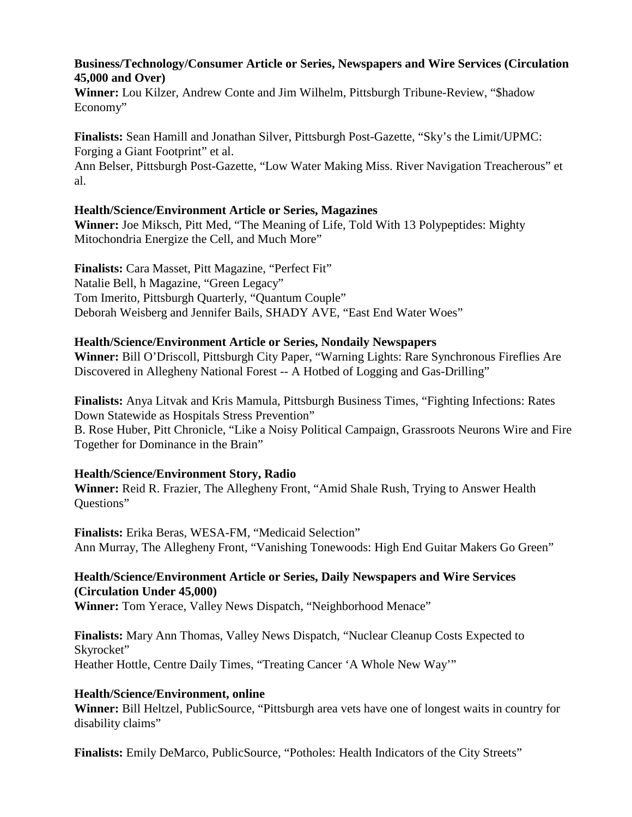# **Business/Technology/Consumer Article or Series, Newspapers and Wire Services (Circulation 45,000 and Over)**

**Winner:** Lou Kilzer, Andrew Conte and Jim Wilhelm, Pittsburgh Tribune-Review, "\$hadow Economy"

**Finalists:** Sean Hamill and Jonathan Silver, Pittsburgh Post-Gazette, "Sky's the Limit/UPMC: Forging a Giant Footprint" et al.

Ann Belser, Pittsburgh Post-Gazette, "Low Water Making Miss. River Navigation Treacherous" et al.

## **Health/Science/Environment Article or Series, Magazines**

**Winner:** Joe Miksch, Pitt Med, "The Meaning of Life, Told With 13 Polypeptides: Mighty Mitochondria Energize the Cell, and Much More"

**Finalists:** Cara Masset, Pitt Magazine, "Perfect Fit" Natalie Bell, h Magazine, "Green Legacy" Tom Imerito, Pittsburgh Quarterly, "Quantum Couple" Deborah Weisberg and Jennifer Bails, SHADY AVE, "East End Water Woes"

## **Health/Science/Environment Article or Series, Nondaily Newspapers**

**Winner:** Bill O'Driscoll, Pittsburgh City Paper, "Warning Lights: Rare Synchronous Fireflies Are Discovered in Allegheny National Forest -- A Hotbed of Logging and Gas-Drilling"

**Finalists:** Anya Litvak and Kris Mamula, Pittsburgh Business Times, "Fighting Infections: Rates Down Statewide as Hospitals Stress Prevention"

B. Rose Huber, Pitt Chronicle, "Like a Noisy Political Campaign, Grassroots Neurons Wire and Fire Together for Dominance in the Brain"

## **Health/Science/Environment Story, Radio**

**Winner:** Reid R. Frazier, The Allegheny Front, "Amid Shale Rush, Trying to Answer Health Questions"

**Finalists:** Erika Beras, WESA-FM, "Medicaid Selection" Ann Murray, The Allegheny Front, "Vanishing Tonewoods: High End Guitar Makers Go Green"

## **Health/Science/Environment Article or Series, Daily Newspapers and Wire Services (Circulation Under 45,000)**

**Winner:** Tom Yerace, Valley News Dispatch, "Neighborhood Menace"

**Finalists:** Mary Ann Thomas, Valley News Dispatch, "Nuclear Cleanup Costs Expected to Skyrocket" Heather Hottle, Centre Daily Times, "Treating Cancer 'A Whole New Way'"

## **Health/Science/Environment, online**

**Winner:** Bill Heltzel, PublicSource, "Pittsburgh area vets have one of longest waits in country for disability claims"

**Finalists:** Emily DeMarco, PublicSource, "Potholes: Health Indicators of the City Streets"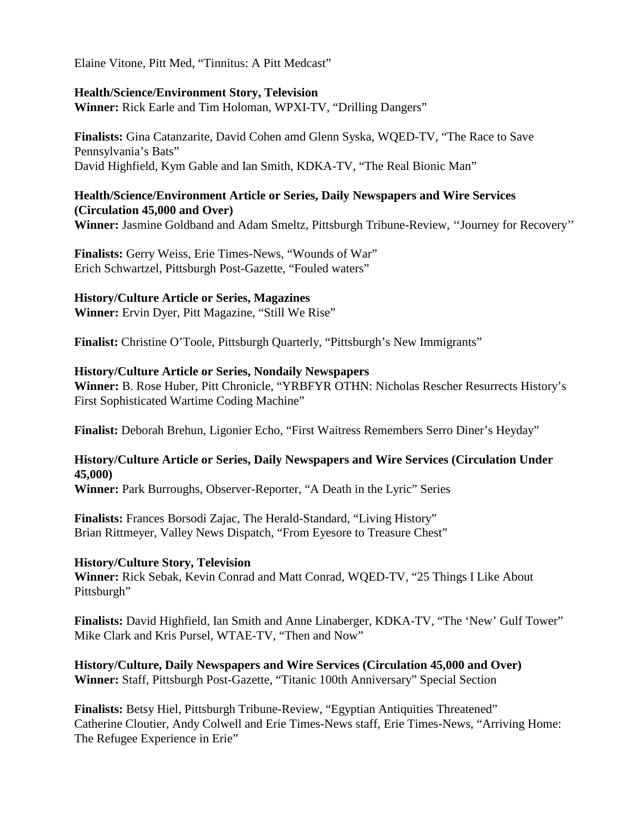Elaine Vitone, Pitt Med, "Tinnitus: A Pitt Medcast"

#### **Health/Science/Environment Story, Television**

**Winner:** Rick Earle and Tim Holoman, WPXI-TV, "Drilling Dangers"

**Finalists:** Gina Catanzarite, David Cohen amd Glenn Syska, WQED-TV, "The Race to Save Pennsylvania's Bats" David Highfield, Kym Gable and Ian Smith, KDKA-TV, "The Real Bionic Man"

## **Health/Science/Environment Article or Series, Daily Newspapers and Wire Services (Circulation 45,000 and Over)**

**Winner:** Jasmine Goldband and Adam Smeltz, Pittsburgh Tribune-Review, ''Journey for Recovery''

**Finalists:** Gerry Weiss, Erie Times-News, "Wounds of War" Erich Schwartzel, Pittsburgh Post-Gazette, "Fouled waters"

#### **History/Culture Article or Series, Magazines**

**Winner:** Ervin Dyer, Pitt Magazine, "Still We Rise"

**Finalist:** Christine O'Toole, Pittsburgh Quarterly, "Pittsburgh's New Immigrants"

#### **History/Culture Article or Series, Nondaily Newspapers**

**Winner:** B. Rose Huber, Pitt Chronicle, "YRBFYR OTHN: Nicholas Rescher Resurrects History's First Sophisticated Wartime Coding Machine"

**Finalist:** Deborah Brehun, Ligonier Echo, "First Waitress Remembers Serro Diner's Heyday"

## **History/Culture Article or Series, Daily Newspapers and Wire Services (Circulation Under 45,000)**

**Winner:** Park Burroughs, Observer-Reporter, "A Death in the Lyric" Series

**Finalists:** Frances Borsodi Zajac, The Herald-Standard, "Living History" Brian Rittmeyer, Valley News Dispatch, "From Eyesore to Treasure Chest"

## **History/Culture Story, Television**

**Winner:** Rick Sebak, Kevin Conrad and Matt Conrad, WQED-TV, "25 Things I Like About Pittsburgh"

**Finalists:** David Highfield, Ian Smith and Anne Linaberger, KDKA-TV, "The 'New' Gulf Tower" Mike Clark and Kris Pursel, WTAE-TV, "Then and Now"

**History/Culture, Daily Newspapers and Wire Services (Circulation 45,000 and Over) Winner:** Staff, Pittsburgh Post-Gazette, "Titanic 100th Anniversary" Special Section

**Finalists:** Betsy Hiel, Pittsburgh Tribune-Review, "Egyptian Antiquities Threatened" Catherine Cloutier, Andy Colwell and Erie Times-News staff, Erie Times-News, "Arriving Home: The Refugee Experience in Erie"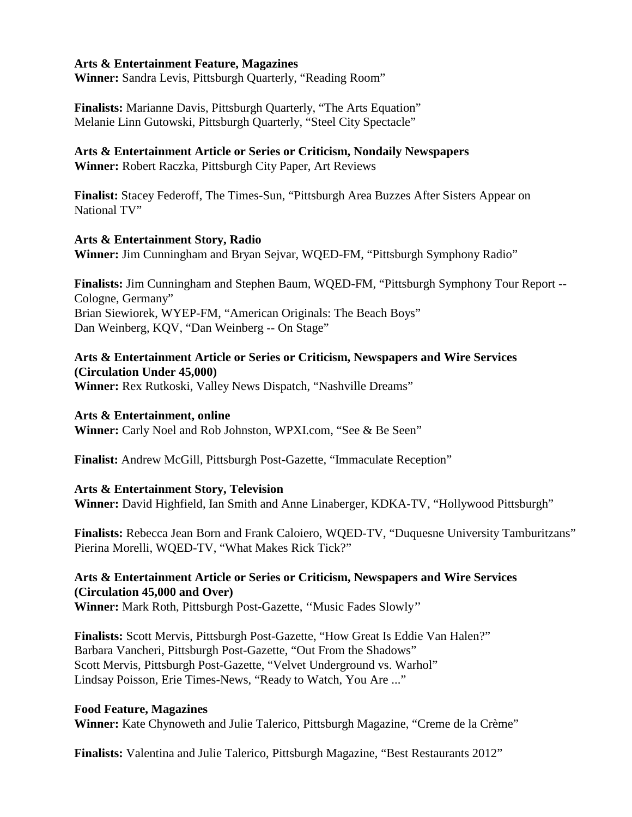## **Arts & Entertainment Feature, Magazines**

**Winner:** Sandra Levis, Pittsburgh Quarterly, "Reading Room"

**Finalists:** Marianne Davis, Pittsburgh Quarterly, "The Arts Equation" Melanie Linn Gutowski, Pittsburgh Quarterly, "Steel City Spectacle"

**Arts & Entertainment Article or Series or Criticism, Nondaily Newspapers Winner:** Robert Raczka, Pittsburgh City Paper, Art Reviews

**Finalist:** Stacey Federoff, The Times-Sun, "Pittsburgh Area Buzzes After Sisters Appear on National TV"

#### **Arts & Entertainment Story, Radio**

**Winner:** Jim Cunningham and Bryan Sejvar, WQED-FM, "Pittsburgh Symphony Radio"

**Finalists:** Jim Cunningham and Stephen Baum, WQED-FM, "Pittsburgh Symphony Tour Report -- Cologne, Germany" Brian Siewiorek, WYEP-FM, "American Originals: The Beach Boys" Dan Weinberg, KQV, "Dan Weinberg -- On Stage"

**Arts & Entertainment Article or Series or Criticism, Newspapers and Wire Services (Circulation Under 45,000)** 

**Winner:** Rex Rutkoski, Valley News Dispatch, "Nashville Dreams"

## **Arts & Entertainment, online**

**Winner:** Carly Noel and Rob Johnston, WPXI.com, "See & Be Seen"

**Finalist:** Andrew McGill, Pittsburgh Post-Gazette, "Immaculate Reception"

## **Arts & Entertainment Story, Television**

**Winner:** David Highfield, Ian Smith and Anne Linaberger, KDKA-TV, "Hollywood Pittsburgh"

**Finalists:** Rebecca Jean Born and Frank Caloiero, WQED-TV, "Duquesne University Tamburitzans" Pierina Morelli, WQED-TV, "What Makes Rick Tick?"

# **Arts & Entertainment Article or Series or Criticism, Newspapers and Wire Services (Circulation 45,000 and Over)**

**Winner:** Mark Roth, Pittsburgh Post-Gazette, ''Music Fades Slowly''

**Finalists:** Scott Mervis, Pittsburgh Post-Gazette, "How Great Is Eddie Van Halen?" Barbara Vancheri, Pittsburgh Post-Gazette, "Out From the Shadows" Scott Mervis, Pittsburgh Post-Gazette, "Velvet Underground vs. Warhol" Lindsay Poisson, Erie Times-News, "Ready to Watch, You Are ..."

#### **Food Feature, Magazines**

**Winner:** Kate Chynoweth and Julie Talerico, Pittsburgh Magazine, "Creme de la Crème"

**Finalists:** Valentina and Julie Talerico, Pittsburgh Magazine, "Best Restaurants 2012"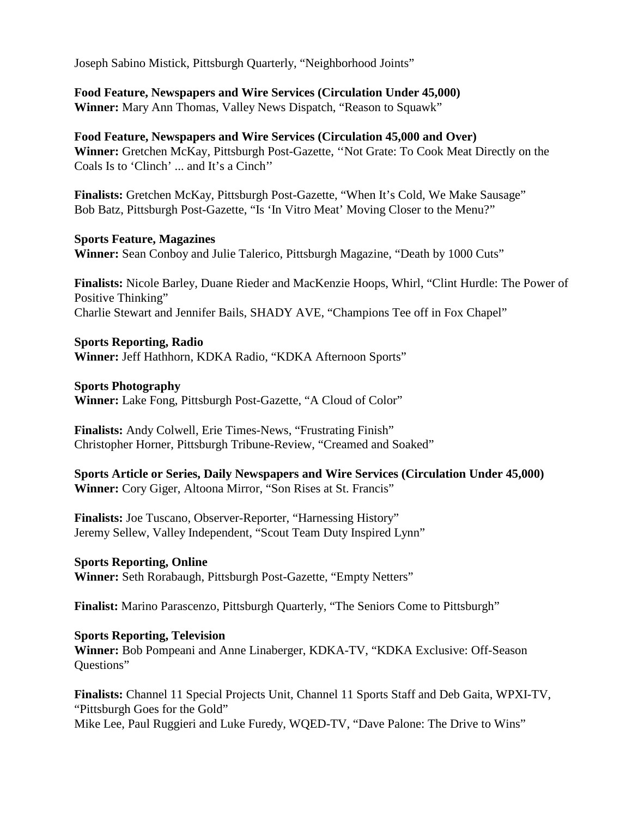Joseph Sabino Mistick, Pittsburgh Quarterly, "Neighborhood Joints"

## **Food Feature, Newspapers and Wire Services (Circulation Under 45,000)**

**Winner:** Mary Ann Thomas, Valley News Dispatch, "Reason to Squawk"

**Food Feature, Newspapers and Wire Services (Circulation 45,000 and Over) Winner:** Gretchen McKay, Pittsburgh Post-Gazette, ''Not Grate: To Cook Meat Directly on the Coals Is to 'Clinch' ... and It's a Cinch''

**Finalists:** Gretchen McKay, Pittsburgh Post-Gazette, "When It's Cold, We Make Sausage" Bob Batz, Pittsburgh Post-Gazette, "Is 'In Vitro Meat' Moving Closer to the Menu?"

**Sports Feature, Magazines Winner:** Sean Conboy and Julie Talerico, Pittsburgh Magazine, "Death by 1000 Cuts"

**Finalists:** Nicole Barley, Duane Rieder and MacKenzie Hoops, Whirl, "Clint Hurdle: The Power of Positive Thinking" Charlie Stewart and Jennifer Bails, SHADY AVE, "Champions Tee off in Fox Chapel"

**Sports Reporting, Radio Winner:** Jeff Hathhorn, KDKA Radio, "KDKA Afternoon Sports"

**Sports Photography Winner:** Lake Fong, Pittsburgh Post-Gazette, "A Cloud of Color"

**Finalists:** Andy Colwell, Erie Times-News, "Frustrating Finish" Christopher Horner, Pittsburgh Tribune-Review, "Creamed and Soaked"

**Sports Article or Series, Daily Newspapers and Wire Services (Circulation Under 45,000) Winner:** Cory Giger, Altoona Mirror, "Son Rises at St. Francis"

**Finalists:** Joe Tuscano, Observer-Reporter, "Harnessing History" Jeremy Sellew, Valley Independent, "Scout Team Duty Inspired Lynn"

# **Sports Reporting, Online**

**Winner:** Seth Rorabaugh, Pittsburgh Post-Gazette, "Empty Netters"

**Finalist:** Marino Parascenzo, Pittsburgh Quarterly, "The Seniors Come to Pittsburgh"

## **Sports Reporting, Television**

**Winner:** Bob Pompeani and Anne Linaberger, KDKA-TV, "KDKA Exclusive: Off-Season Questions"

**Finalists:** Channel 11 Special Projects Unit, Channel 11 Sports Staff and Deb Gaita, WPXI-TV, "Pittsburgh Goes for the Gold" Mike Lee, Paul Ruggieri and Luke Furedy, WQED-TV, "Dave Palone: The Drive to Wins"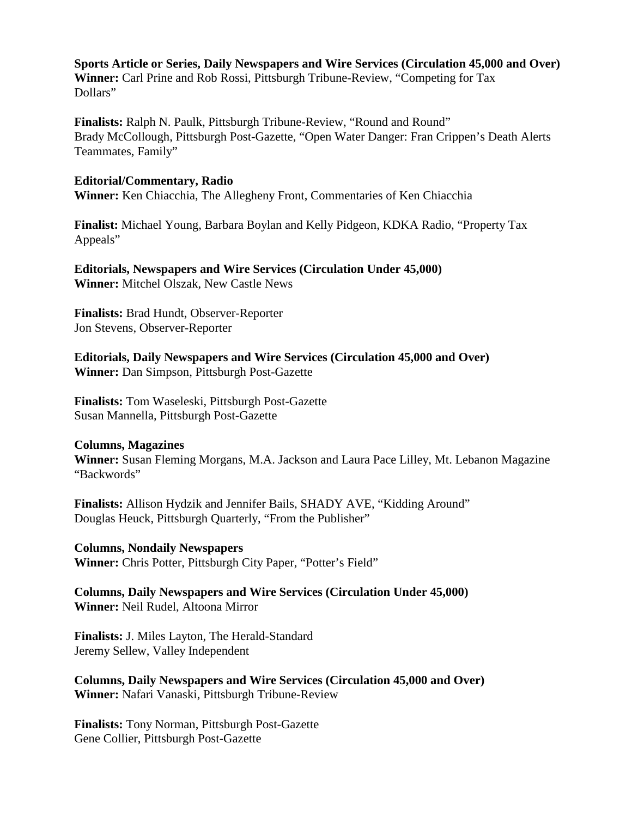## **Sports Article or Series, Daily Newspapers and Wire Services (Circulation 45,000 and Over)**

**Winner:** Carl Prine and Rob Rossi, Pittsburgh Tribune-Review, "Competing for Tax Dollars"

**Finalists:** Ralph N. Paulk, Pittsburgh Tribune-Review, "Round and Round" Brady McCollough, Pittsburgh Post-Gazette, "Open Water Danger: Fran Crippen's Death Alerts Teammates, Family"

#### **Editorial/Commentary, Radio**

**Winner:** Ken Chiacchia, The Allegheny Front, Commentaries of Ken Chiacchia

**Finalist:** Michael Young, Barbara Boylan and Kelly Pidgeon, KDKA Radio, "Property Tax Appeals"

**Editorials, Newspapers and Wire Services (Circulation Under 45,000) Winner:** Mitchel Olszak, New Castle News

**Finalists:** Brad Hundt, Observer-Reporter Jon Stevens, Observer-Reporter

**Editorials, Daily Newspapers and Wire Services (Circulation 45,000 and Over) Winner:** Dan Simpson, Pittsburgh Post-Gazette

**Finalists:** Tom Waseleski, Pittsburgh Post-Gazette Susan Mannella, Pittsburgh Post-Gazette

#### **Columns, Magazines**

**Winner:** Susan Fleming Morgans, M.A. Jackson and Laura Pace Lilley, Mt. Lebanon Magazine "Backwords"

**Finalists:** Allison Hydzik and Jennifer Bails, SHADY AVE, "Kidding Around" Douglas Heuck, Pittsburgh Quarterly, "From the Publisher"

**Columns, Nondaily Newspapers Winner:** Chris Potter, Pittsburgh City Paper, "Potter's Field"

**Columns, Daily Newspapers and Wire Services (Circulation Under 45,000) Winner:** Neil Rudel, Altoona Mirror

**Finalists:** J. Miles Layton, The Herald-Standard Jeremy Sellew, Valley Independent

**Columns, Daily Newspapers and Wire Services (Circulation 45,000 and Over) Winner:** Nafari Vanaski, Pittsburgh Tribune-Review

**Finalists:** Tony Norman, Pittsburgh Post-Gazette Gene Collier, Pittsburgh Post-Gazette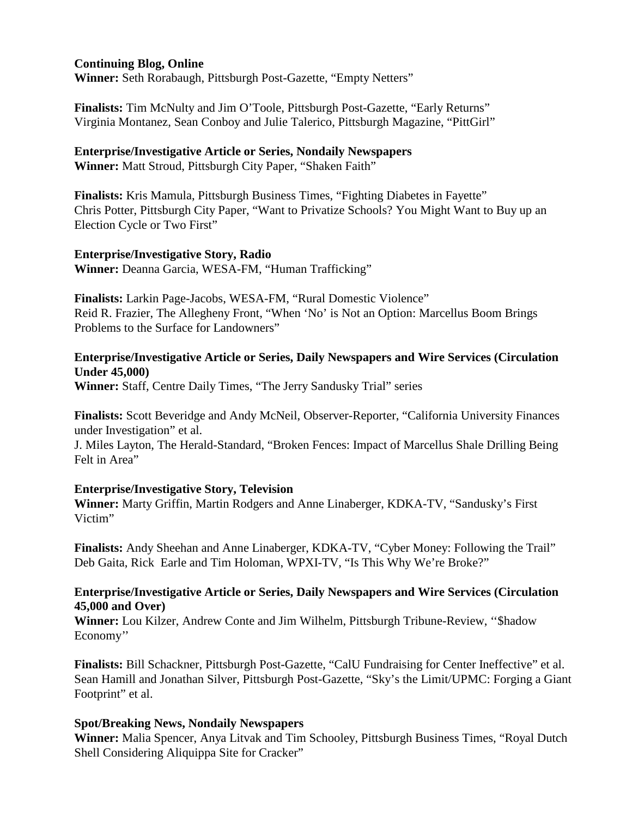## **Continuing Blog, Online**

**Winner:** Seth Rorabaugh, Pittsburgh Post-Gazette, "Empty Netters"

**Finalists:** Tim McNulty and Jim O'Toole, Pittsburgh Post-Gazette, "Early Returns" Virginia Montanez, Sean Conboy and Julie Talerico, Pittsburgh Magazine, "PittGirl"

# **Enterprise/Investigative Article or Series, Nondaily Newspapers**

**Winner:** Matt Stroud, Pittsburgh City Paper, "Shaken Faith"

**Finalists:** Kris Mamula, Pittsburgh Business Times, "Fighting Diabetes in Fayette" Chris Potter, Pittsburgh City Paper, "Want to Privatize Schools? You Might Want to Buy up an Election Cycle or Two First"

## **Enterprise/Investigative Story, Radio**

**Winner:** Deanna Garcia, WESA-FM, "Human Trafficking"

**Finalists:** Larkin Page-Jacobs, WESA-FM, "Rural Domestic Violence" Reid R. Frazier, The Allegheny Front, "When 'No' is Not an Option: Marcellus Boom Brings Problems to the Surface for Landowners"

# **Enterprise/Investigative Article or Series, Daily Newspapers and Wire Services (Circulation Under 45,000)**

**Winner:** Staff, Centre Daily Times, "The Jerry Sandusky Trial" series

**Finalists:** Scott Beveridge and Andy McNeil, Observer-Reporter, "California University Finances under Investigation" et al.

J. Miles Layton, The Herald-Standard, "Broken Fences: Impact of Marcellus Shale Drilling Being Felt in Area"

# **Enterprise/Investigative Story, Television**

**Winner:** Marty Griffin, Martin Rodgers and Anne Linaberger, KDKA-TV, "Sandusky's First Victim"

**Finalists:** Andy Sheehan and Anne Linaberger, KDKA-TV, "Cyber Money: Following the Trail" Deb Gaita, Rick Earle and Tim Holoman, WPXI-TV, "Is This Why We're Broke?"

## **Enterprise/Investigative Article or Series, Daily Newspapers and Wire Services (Circulation 45,000 and Over)**

**Winner:** Lou Kilzer, Andrew Conte and Jim Wilhelm, Pittsburgh Tribune-Review, ''\$hadow Economy''

**Finalists:** Bill Schackner, Pittsburgh Post-Gazette, "CalU Fundraising for Center Ineffective" et al. Sean Hamill and Jonathan Silver, Pittsburgh Post-Gazette, "Sky's the Limit/UPMC: Forging a Giant Footprint" et al.

# **Spot/Breaking News, Nondaily Newspapers**

**Winner:** Malia Spencer, Anya Litvak and Tim Schooley, Pittsburgh Business Times, "Royal Dutch Shell Considering Aliquippa Site for Cracker"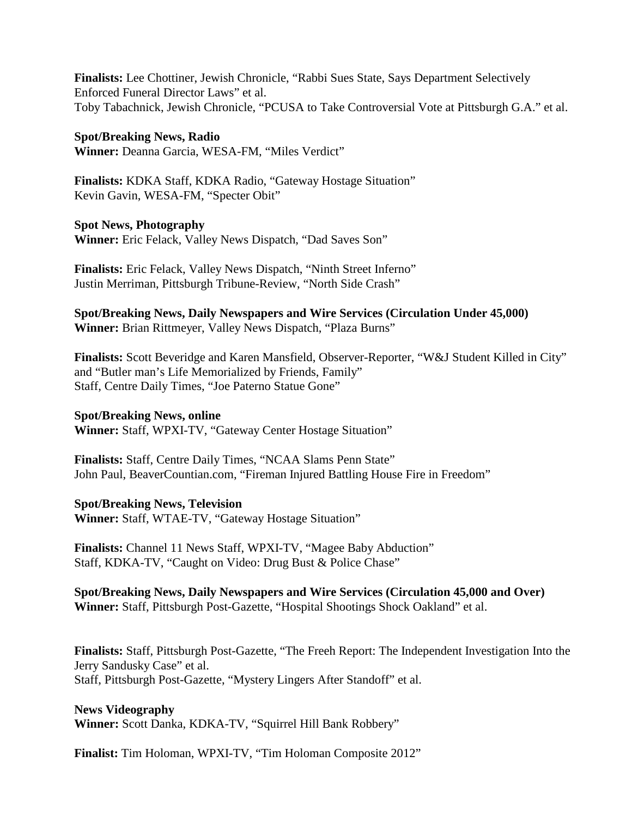**Finalists:** Lee Chottiner, Jewish Chronicle, "Rabbi Sues State, Says Department Selectively Enforced Funeral Director Laws" et al. Toby Tabachnick, Jewish Chronicle, "PCUSA to Take Controversial Vote at Pittsburgh G.A." et al.

**Spot/Breaking News, Radio Winner:** Deanna Garcia, WESA-FM, "Miles Verdict"

**Finalists:** KDKA Staff, KDKA Radio, "Gateway Hostage Situation" Kevin Gavin, WESA-FM, "Specter Obit"

**Spot News, Photography Winner:** Eric Felack, Valley News Dispatch, "Dad Saves Son"

**Finalists:** Eric Felack, Valley News Dispatch, "Ninth Street Inferno" Justin Merriman, Pittsburgh Tribune-Review, "North Side Crash"

**Spot/Breaking News, Daily Newspapers and Wire Services (Circulation Under 45,000) Winner:** Brian Rittmeyer, Valley News Dispatch, "Plaza Burns"

**Finalists:** Scott Beveridge and Karen Mansfield, Observer-Reporter, "W&J Student Killed in City" and "Butler man's Life Memorialized by Friends, Family" Staff, Centre Daily Times, "Joe Paterno Statue Gone"

## **Spot/Breaking News, online**

**Winner:** Staff, WPXI-TV, "Gateway Center Hostage Situation"

**Finalists:** Staff, Centre Daily Times, "NCAA Slams Penn State" John Paul, BeaverCountian.com, "Fireman Injured Battling House Fire in Freedom"

## **Spot/Breaking News, Television**

**Winner:** Staff, WTAE-TV, "Gateway Hostage Situation"

**Finalists:** Channel 11 News Staff, WPXI-TV, "Magee Baby Abduction" Staff, KDKA-TV, "Caught on Video: Drug Bust & Police Chase"

**Spot/Breaking News, Daily Newspapers and Wire Services (Circulation 45,000 and Over) Winner:** Staff, Pittsburgh Post-Gazette, "Hospital Shootings Shock Oakland" et al.

**Finalists:** Staff, Pittsburgh Post-Gazette, "The Freeh Report: The Independent Investigation Into the Jerry Sandusky Case" et al. Staff, Pittsburgh Post-Gazette, "Mystery Lingers After Standoff" et al.

## **News Videography**

**Winner:** Scott Danka, KDKA-TV, "Squirrel Hill Bank Robbery"

**Finalist:** Tim Holoman, WPXI-TV, "Tim Holoman Composite 2012"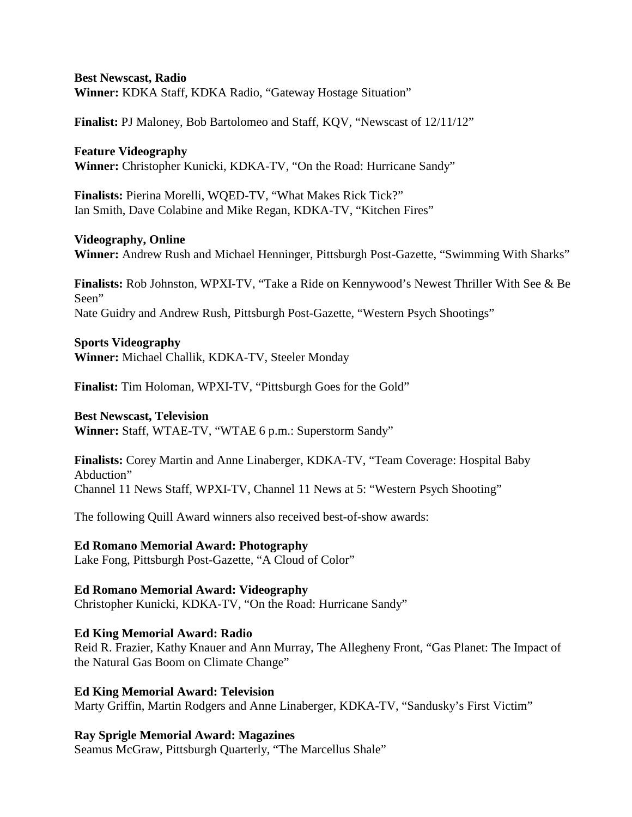## **Best Newscast, Radio Winner:** KDKA Staff, KDKA Radio, "Gateway Hostage Situation"

**Finalist:** PJ Maloney, Bob Bartolomeo and Staff, KQV, "Newscast of  $12/11/12$ "

**Feature Videography Winner:** Christopher Kunicki, KDKA-TV, "On the Road: Hurricane Sandy"

**Finalists:** Pierina Morelli, WQED-TV, "What Makes Rick Tick?" Ian Smith, Dave Colabine and Mike Regan, KDKA-TV, "Kitchen Fires"

## **Videography, Online**

**Winner:** Andrew Rush and Michael Henninger, Pittsburgh Post-Gazette, "Swimming With Sharks"

**Finalists:** Rob Johnston, WPXI-TV, "Take a Ride on Kennywood's Newest Thriller With See & Be Seen" Nate Guidry and Andrew Rush, Pittsburgh Post-Gazette, "Western Psych Shootings"

## **Sports Videography**

**Winner:** Michael Challik, KDKA-TV, Steeler Monday

**Finalist:** Tim Holoman, WPXI-TV, "Pittsburgh Goes for the Gold"

## **Best Newscast, Television**

**Winner:** Staff, WTAE-TV, "WTAE 6 p.m.: Superstorm Sandy"

**Finalists:** Corey Martin and Anne Linaberger, KDKA-TV, "Team Coverage: Hospital Baby Abduction" Channel 11 News Staff, WPXI-TV, Channel 11 News at 5: "Western Psych Shooting"

The following Quill Award winners also received best-of-show awards:

# **Ed Romano Memorial Award: Photography**

Lake Fong, Pittsburgh Post-Gazette, "A Cloud of Color"

# **Ed Romano Memorial Award: Videography**

Christopher Kunicki, KDKA-TV, "On the Road: Hurricane Sandy"

# **Ed King Memorial Award: Radio**

Reid R. Frazier, Kathy Knauer and Ann Murray, The Allegheny Front, "Gas Planet: The Impact of the Natural Gas Boom on Climate Change"

# **Ed King Memorial Award: Television**

Marty Griffin, Martin Rodgers and Anne Linaberger, KDKA-TV, "Sandusky's First Victim"

# **Ray Sprigle Memorial Award: Magazines**

Seamus McGraw, Pittsburgh Quarterly, "The Marcellus Shale"